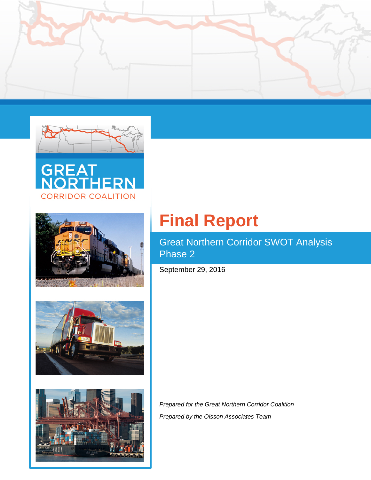











Great Northern Corridor SWOT Analysis Phase 2

September 29, 2016

*Prepared for the Great Northern Corridor Coalition Prepared by the Olsson Associates Team*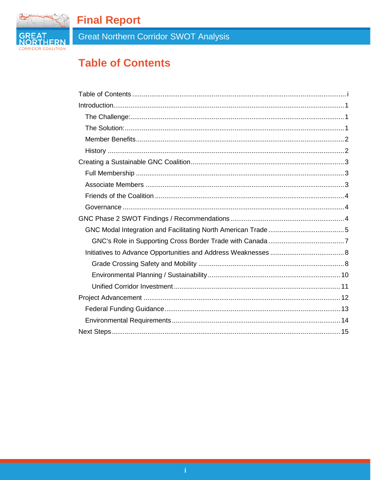

Great Northern Corridor SWOT Analysis

# <span id="page-1-0"></span>**Table of Contents**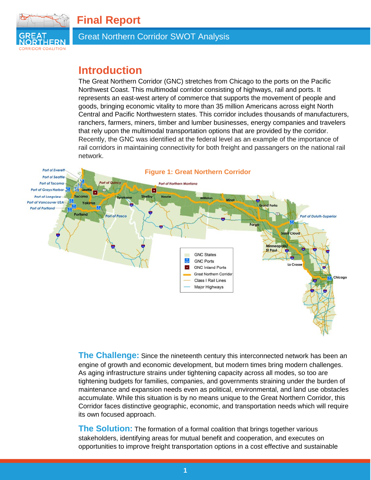

# <span id="page-2-0"></span>**Introduction**

The Great Northern Corridor (GNC) stretches from Chicago to the ports on the Pacific Northwest Coast. This multimodal corridor consisting of highways, rail and ports. It represents an east-west artery of commerce that supports the movement of people and goods, bringing economic vitality to more than 35 million Americans across eight North Central and Pacific Northwestern states. This corridor includes thousands of manufacturers, ranchers, farmers, miners, timber and lumber businesses, energy companies and travelers that rely upon the multimodal transportation options that are provided by the corridor. Recently, the GNC was identified at the federal level as an example of the importance of rail corridors in maintaining connectivity for both freight and passangers on the national rail network.



<span id="page-2-1"></span>**The Challenge:** Since the nineteenth century this interconnected network has been an engine of growth and economic development, but modern times bring modern challenges. As aging infrastructure strains under tightening capacity across all modes, so too are tightening budgets for families, companies, and governments straining under the burden of maintenance and expansion needs even as political, environmental, and land use obstacles accumulate. While this situation is by no means unique to the Great Northern Corridor, this Corridor faces distinctive geographic, economic, and transportation needs which will require its own focused approach.

<span id="page-2-2"></span>**The Solution:** The formation of a formal coalition that brings together various stakeholders, identifying areas for mutual benefit and cooperation, and executes on opportunities to improve freight transportation options in a cost effective and sustainable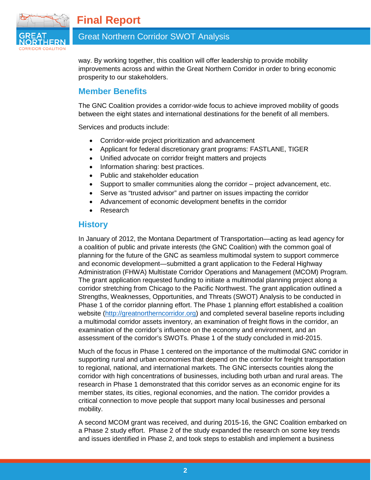

# Great Northern Corridor SWOT Analysis

way. By working together, this coalition will offer leadership to provide mobility improvements across and within the Great Northern Corridor in order to bring economic prosperity to our stakeholders.

### <span id="page-3-0"></span>**Member Benefits**

The GNC Coalition provides a corridor-wide focus to achieve improved mobility of goods between the eight states and international destinations for the benefit of all members.

Services and products include:

- Corridor-wide project prioritization and advancement
- Applicant for federal discretionary grant programs: FASTLANE, TIGER
- Unified advocate on corridor freight matters and projects
- Information sharing: best practices.
- Public and stakeholder education
- Support to smaller communities along the corridor project advancement, etc.
- Serve as "trusted advisor" and partner on issues impacting the corridor
- Advancement of economic development benefits in the corridor
- Research

#### <span id="page-3-1"></span>**History**

In January of 2012, the Montana Department of Transportation—acting as lead agency for a coalition of public and private interests (the GNC Coalition) with the common goal of planning for the future of the GNC as seamless multimodal system to support commerce and economic development—submitted a grant application to the Federal Highway Administration (FHWA) Multistate Corridor Operations and Management (MCOM) Program. The grant application requested funding to initiate a multimodal planning project along a corridor stretching from Chicago to the Pacific Northwest. The grant application outlined a Strengths, Weaknesses, Opportunities, and Threats (SWOT) Analysis to be conducted in Phase 1 of the corridor planning effort. The Phase 1 planning effort established a coalition website [\(http://greatnortherncorridor.org\)](http://greatnortherncorridor.com/) and completed several baseline reports including a multimodal corridor assets inventory, an examination of freight flows in the corridor, an examination of the corridor's influence on the economy and environment, and an assessment of the corridor's SWOTs. Phase 1 of the study concluded in mid-2015.

Much of the focus in Phase 1 centered on the importance of the multimodal GNC corridor in supporting rural and urban economies that depend on the corridor for freight transportation to regional, national, and international markets. The GNC intersects counties along the corridor with high concentrations of businesses, including both urban and rural areas. The research in Phase 1 demonstrated that this corridor serves as an economic engine for its member states, its cities, regional economies, and the nation. The corridor provides a critical connection to move people that support many local businesses and personal mobility.

A second MCOM grant was received, and during 2015-16, the GNC Coalition embarked on a Phase 2 study effort. Phase 2 of the study expanded the research on some key trends and issues identified in Phase 2, and took steps to establish and implement a business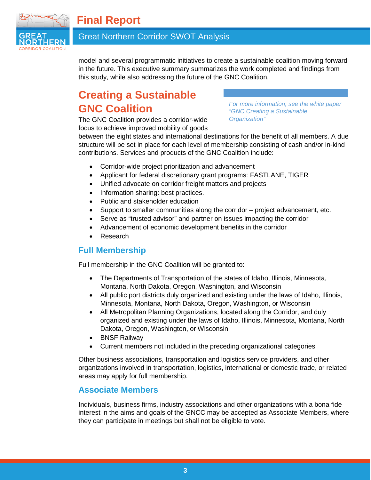

# Great Northern Corridor SWOT Analysis

model and several programmatic initiatives to create a sustainable coalition moving forward in the future. This executive summary summarizes the work completed and findings from this study, while also addressing the future of the GNC Coalition.

# <span id="page-4-0"></span>**Creating a Sustainable GNC Coalition**

The GNC Coalition provides a corridor-wide focus to achieve improved mobility of goods *For more information, see the white paper "GNC Creating a Sustainable Organization"*

between the eight states and international destinations for the benefit of all members. A due structure will be set in place for each level of membership consisting of cash and/or in-kind contributions. Services and products of the GNC Coalition include:

- Corridor-wide project prioritization and advancement
- Applicant for federal discretionary grant programs: FASTLANE, TIGER
- Unified advocate on corridor freight matters and projects
- Information sharing: best practices.
- Public and stakeholder education
- Support to smaller communities along the corridor project advancement, etc.
- Serve as "trusted advisor" and partner on issues impacting the corridor
- Advancement of economic development benefits in the corridor
- **Research**

# <span id="page-4-1"></span>**Full Membership**

Full membership in the GNC Coalition will be granted to:

- The Departments of Transportation of the states of Idaho, Illinois, Minnesota, Montana, North Dakota, Oregon, Washington, and Wisconsin
- All public port districts duly organized and existing under the laws of Idaho, Illinois, Minnesota, Montana, North Dakota, Oregon, Washington, or Wisconsin
- All Metropolitan Planning Organizations, located along the Corridor, and duly organized and existing under the laws of Idaho, Illinois, Minnesota, Montana, North Dakota, Oregon, Washington, or Wisconsin
- BNSF Railway
- Current members not included in the preceding organizational categories

Other business associations, transportation and logistics service providers, and other organizations involved in transportation, logistics, international or domestic trade, or related areas may apply for full membership.

# <span id="page-4-2"></span>**Associate Members**

Individuals, business firms, industry associations and other organizations with a bona fide interest in the aims and goals of the GNCC may be accepted as Associate Members, where they can participate in meetings but shall not be eligible to vote.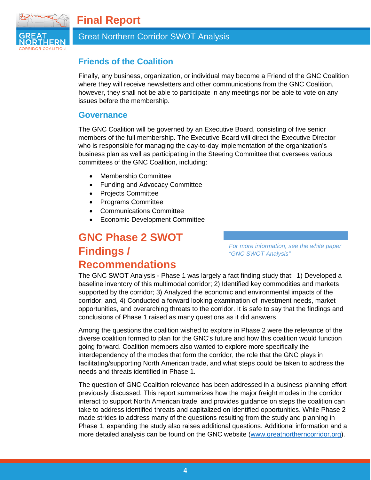

# Great Northern Corridor SWOT Analysis

# <span id="page-5-0"></span>**Friends of the Coalition**

Finally, any business, organization, or individual may become a Friend of the GNC Coalition where they will receive newsletters and other communications from the GNC Coalition, however, they shall not be able to participate in any meetings nor be able to vote on any issues before the membership.

#### <span id="page-5-1"></span>**Governance**

The GNC Coalition will be governed by an Executive Board, consisting of five senior members of the full membership. The Executive Board will direct the Executive Director who is responsible for managing the day-to-day implementation of the organization's business plan as well as participating in the Steering Committee that oversees various committees of the GNC Coalition, including:

- Membership Committee
- Funding and Advocacy Committee
- Projects Committee
- Programs Committee
- Communications Committee
- Economic Development Committee

# <span id="page-5-2"></span>**GNC Phase 2 SWOT Findings / Recommendations**

*For more information, see the white paper "GNC SWOT Analysis"*

The GNC SWOT Analysis - Phase 1 was largely a fact finding study that: 1) Developed a baseline inventory of this multimodal corridor; 2) Identified key commodities and markets supported by the corridor; 3) Analyzed the economic and environmental impacts of the corridor; and, 4) Conducted a forward looking examination of investment needs, market opportunities, and overarching threats to the corridor. It is safe to say that the findings and conclusions of Phase 1 raised as many questions as it did answers.

Among the questions the coalition wished to explore in Phase 2 were the relevance of the diverse coalition formed to plan for the GNC's future and how this coalition would function going forward. Coalition members also wanted to explore more specifically the interdependency of the modes that form the corridor, the role that the GNC plays in facilitating/supporting North American trade, and what steps could be taken to address the needs and threats identified in Phase 1.

The question of GNC Coalition relevance has been addressed in a business planning effort previously discussed. This report summarizes how the major freight modes in the corridor interact to support North American trade, and provides guidance on steps the coalition can take to address identified threats and capitalized on identified opportunities. While Phase 2 made strides to address many of the questions resulting from the study and planning in Phase 1, expanding the study also raises additional questions. Additional information and a more detailed analysis can be found on the GNC website [\(www.greatnortherncorridor.org\)](http://www.greatnortherncorridor.org/).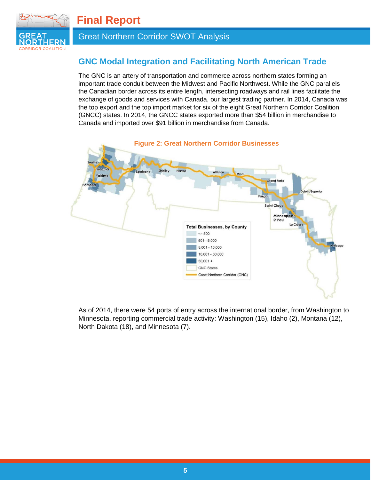

# Great Northern Corridor SWOT Analysis

# <span id="page-6-0"></span>**GNC Modal Integration and Facilitating North American Trade**

The GNC is an artery of transportation and commerce across northern states forming an important trade conduit between the Midwest and Pacific Northwest. While the GNC parallels the Canadian border across its entire length, intersecting roadways and rail lines facilitate the exchange of goods and services with Canada, our largest trading partner. In 2014, Canada was the top export and the top import market for six of the eight Great Northern Corridor Coalition (GNCC) states. In 2014, the GNCC states exported more than \$54 billion in merchandise to Canada and imported over \$91 billion in merchandise from Canada.



As of 2014, there were 54 ports of entry across the international border, from Washington to Minnesota, reporting commercial trade activity: Washington (15), Idaho (2), Montana (12), North Dakota (18), and Minnesota (7).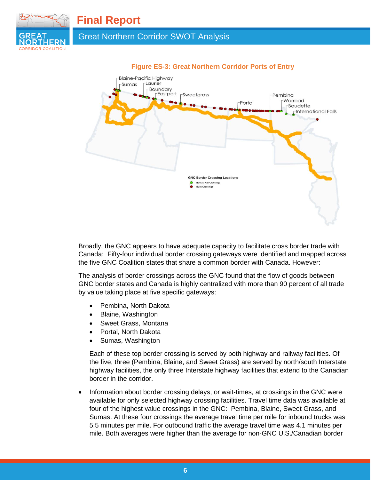

Great Northern Corridor SWOT Analysis



#### **Figure ES-3: Great Northern Corridor Ports of Entry**

Broadly, the GNC appears to have adequate capacity to facilitate cross border trade with Canada: Fifty-four individual border crossing gateways were identified and mapped across the five GNC Coalition states that share a common border with Canada. However:

The analysis of border crossings across the GNC found that the flow of goods between GNC border states and Canada is highly centralized with more than 90 percent of all trade by value taking place at five specific gateways:

- Pembina, North Dakota
- Blaine, Washington
- Sweet Grass, Montana
- Portal, North Dakota
- Sumas, Washington

Each of these top border crossing is served by both highway and railway facilities. Of the five, three (Pembina, Blaine, and Sweet Grass) are served by north/south Interstate highway facilities, the only three Interstate highway facilities that extend to the Canadian border in the corridor.

• Information about border crossing delays, or wait-times, at crossings in the GNC were available for only selected highway crossing facilities. Travel time data was available at four of the highest value crossings in the GNC: Pembina, Blaine, Sweet Grass, and Sumas. At these four crossings the average travel time per mile for inbound trucks was 5.5 minutes per mile. For outbound traffic the average travel time was 4.1 minutes per mile. Both averages were higher than the average for non-GNC U.S./Canadian border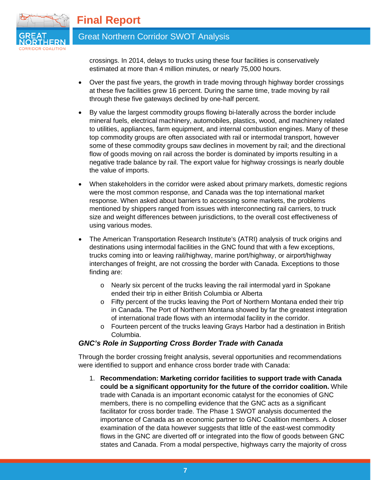

# Great Northern Corridor SWOT Analysis

crossings. In 2014, delays to trucks using these four facilities is conservatively estimated at more than 4 million minutes, or nearly 75,000 hours.

- Over the past five years, the growth in trade moving through highway border crossings at these five facilities grew 16 percent. During the same time, trade moving by rail through these five gateways declined by one-half percent.
- By value the largest commodity groups flowing bi-laterally across the border include mineral fuels, electrical machinery, automobiles, plastics, wood, and machinery related to utilities, appliances, farm equipment, and internal combustion engines. Many of these top commodity groups are often associated with rail or intermodal transport, however some of these commodity groups saw declines in movement by rail; and the directional flow of goods moving on rail across the border is dominated by imports resulting in a negative trade balance by rail. The export value for highway crossings is nearly double the value of imports.
- When stakeholders in the corridor were asked about primary markets, domestic regions were the most common response, and Canada was the top international market response. When asked about barriers to accessing some markets, the problems mentioned by shippers ranged from issues with interconnecting rail carriers, to truck size and weight differences between jurisdictions, to the overall cost effectiveness of using various modes.
- The American Transportation Research Institute's (ATRI) analysis of truck origins and destinations using intermodal facilities in the GNC found that with a few exceptions, trucks coming into or leaving rail/highway, marine port/highway, or airport/highway interchanges of freight, are not crossing the border with Canada. Exceptions to those finding are:
	- o Nearly six percent of the trucks leaving the rail intermodal yard in Spokane ended their trip in either British Columbia or Alberta
	- o Fifty percent of the trucks leaving the Port of Northern Montana ended their trip in Canada. The Port of Northern Montana showed by far the greatest integration of international trade flows with an intermodal facility in the corridor.
	- o Fourteen percent of the trucks leaving Grays Harbor had a destination in British Columbia.

#### <span id="page-8-0"></span>*GNC's Role in Supporting Cross Border Trade with Canada*

Through the border crossing freight analysis, several opportunities and recommendations were identified to support and enhance cross border trade with Canada:

1. **Recommendation: Marketing corridor facilities to support trade with Canada could be a significant opportunity for the future of the corridor coalition.** While trade with Canada is an important economic catalyst for the economies of GNC members, there is no compelling evidence that the GNC acts as a significant facilitator for cross border trade. The Phase 1 SWOT analysis documented the importance of Canada as an economic partner to GNC Coalition members. A closer examination of the data however suggests that little of the east-west commodity flows in the GNC are diverted off or integrated into the flow of goods between GNC states and Canada. From a modal perspective, highways carry the majority of cross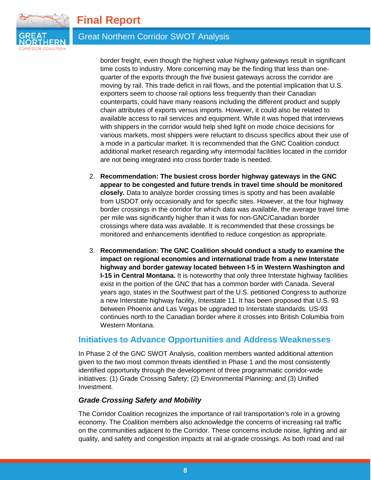

# Great Northern Corridor SWOT Analysis

border freight, even though the highest value highway gateways result in significant time costs to industry. More concerning may be the finding that less than onequarter of the exports through the five busiest gateways across the corridor are moving by rail. This trade deficit in rail flows, and the potential implication that U.S. exporters seem to choose rail options less frequently than their Canadian counterparts, could have many reasons including the different product and supply chain attributes of exports versus imports. However, it could also be related to available access to rail services and equipment. While it was hoped that interviews with shippers in the corridor would help shed light on mode choice decisions for various markets, most shippers were reluctant to discuss specifics about their use of a mode in a particular market. It is recommended that the GNC Coalition conduct additional market research regarding why intermodal facilities located in the corridor are not being integrated into cross border trade is needed.

- 2. **Recommendation: The busiest cross border highway gateways in the GNC appear to be congested and future trends in travel time should be monitored closely.** Data to analyze border crossing times is spotty and has been available from USDOT only occasionally and for specific sites. However, at the four highway border crossings in the corridor for which data was available, the average travel time per mile was significantly higher than it was for non-GNC/Canadian border crossings where data was available. It is recommended that these crossings be monitored and enhancements identified to reduce congestion as appropriate.
- 3. **Recommendation: The GNC Coalition should conduct a study to examine the impact on regional economies and international trade from a new Interstate highway and border gateway located between I-5 in Western Washington and I-15 in Central Montana.** It is noteworthy that only three Interstate highway facilities exist in the portion of the GNC that has a common border with Canada. Several years ago, states in the Southwest part of the U.S. petitioned Congress to authorize a new Interstate highway facility, Interstate 11. It has been proposed that U.S. 93 between Phoenix and Las Vegas be upgraded to Interstate standards. US-93 continues north to the Canadian border where it crosses into British Columbia from Western Montana.

#### <span id="page-9-0"></span>**Initiatives to Advance Opportunities and Address Weaknesses**

In Phase 2 of the GNC SWOT Analysis, coalition members wanted additional attention given to the two most common threats identified in Phase 1 and the most consistently identified opportunity through the development of three programmatic corridor-wide initiatives: (1) Grade Crossing Safety; (2) Environmental Planning; and (3) Unified Investment.

#### <span id="page-9-1"></span>*Grade Crossing Safety and Mobility*

The Corridor Coalition recognizes the importance of rail transportation's role in a growing economy. The Coalition members also acknowledge the concerns of increasing rail traffic on the communities adjacent to the Corridor. These concerns include noise, lighting and air quality, and safety and congestion impacts at rail at-grade crossings. As both road and rail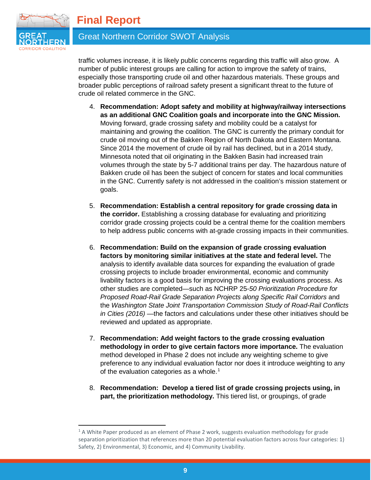

# Great Northern Corridor SWOT Analysis

traffic volumes increase, it is likely public concerns regarding this traffic will also grow. A number of public interest groups are calling for action to improve the safety of trains, especially those transporting crude oil and other hazardous materials. These groups and broader public perceptions of railroad safety present a significant threat to the future of crude oil related commerce in the GNC.

- 4. **Recommendation: Adopt safety and mobility at highway/railway intersections as an additional GNC Coalition goals and incorporate into the GNC Mission.**  Moving forward, grade crossing safety and mobility could be a catalyst for maintaining and growing the coalition. The GNC is currently the primary conduit for crude oil moving out of the Bakken Region of North Dakota and Eastern Montana. Since 2014 the movement of crude oil by rail has declined, but in a 2014 study, Minnesota noted that oil originating in the Bakken Basin had increased train volumes through the state by 5-7 additional trains per day. The hazardous nature of Bakken crude oil has been the subject of concern for states and local communities in the GNC. Currently safety is not addressed in the coalition's mission statement or goals.
- 5. **Recommendation: Establish a central repository for grade crossing data in the corridor.** Establishing a crossing database for evaluating and prioritizing corridor grade crossing projects could be a central theme for the coalition members to help address public concerns with at-grade crossing impacts in their communities.
- 6. **Recommendation: Build on the expansion of grade crossing evaluation factors by monitoring similar initiatives at the state and federal level.** The analysis to identify available data sources for expanding the evaluation of grade crossing projects to include broader environmental, economic and community livability factors is a good basis for improving the crossing evaluations process. As other studies are completed—such as NCHRP 25-*50 Prioritization Procedure for Proposed Road-Rail Grade Separation Projects along Specific Rail Corridors* and the *Washington State Joint Transportation Commission Study of Road-Rail Conflicts in Cities (2016)* —the factors and calculations under these other initiatives should be reviewed and updated as appropriate.
- 7. **Recommendation: Add weight factors to the grade crossing evaluation methodology in order to give certain factors more importance.** The evaluation method developed in Phase 2 does not include any weighting scheme to give preference to any individual evaluation factor nor does it introduce weighting to any of the evaluation categories as a whole.<sup>[1](#page-10-0)</sup>
- 8. **Recommendation: Develop a tiered list of grade crossing projects using, in part, the prioritization methodology.** This tiered list, or groupings, of grade

<span id="page-10-0"></span><sup>-</sup> $1$  A White Paper produced as an element of Phase 2 work, suggests evaluation methodology for grade separation prioritization that references more than 20 potential evaluation factors across four categories: 1) Safety, 2) Environmental, 3) Economic, and 4) Community Livability.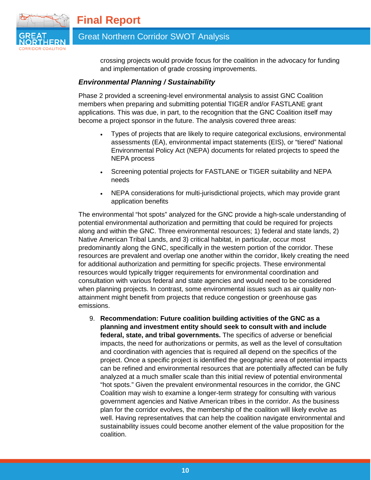

Great Northern Corridor SWOT Analysis

crossing projects would provide focus for the coalition in the advocacy for funding and implementation of grade crossing improvements.

#### <span id="page-11-0"></span>*Environmental Planning / Sustainability*

Phase 2 provided a screening-level environmental analysis to assist GNC Coalition members when preparing and submitting potential TIGER and/or FASTLANE grant applications. This was due, in part, to the recognition that the GNC Coalition itself may become a project sponsor in the future. The analysis covered three areas:

- Types of projects that are likely to require categorical exclusions, environmental assessments (EA), environmental impact statements (EIS), or "tiered" National Environmental Policy Act (NEPA) documents for related projects to speed the NEPA process
- Screening potential projects for FASTLANE or TIGER suitability and NEPA needs
- NEPA considerations for multi-jurisdictional projects, which may provide grant application benefits

The environmental "hot spots" analyzed for the GNC provide a high-scale understanding of potential environmental authorization and permitting that could be required for projects along and within the GNC. Three environmental resources; 1) federal and state lands, 2) Native American Tribal Lands, and 3) critical habitat, in particular, occur most predominantly along the GNC, specifically in the western portion of the corridor. These resources are prevalent and overlap one another within the corridor, likely creating the need for additional authorization and permitting for specific projects. These environmental resources would typically trigger requirements for environmental coordination and consultation with various federal and state agencies and would need to be considered when planning projects. In contrast, some environmental issues such as air quality nonattainment might benefit from projects that reduce congestion or greenhouse gas emissions.

9. **Recommendation: Future coalition building activities of the GNC as a planning and investment entity should seek to consult with and include federal, state, and tribal governments.** The specifics of adverse or beneficial impacts, the need for authorizations or permits, as well as the level of consultation and coordination with agencies that is required all depend on the specifics of the project. Once a specific project is identified the geographic area of potential impacts can be refined and environmental resources that are potentially affected can be fully analyzed at a much smaller scale than this initial review of potential environmental "hot spots." Given the prevalent environmental resources in the corridor, the GNC Coalition may wish to examine a longer-term strategy for consulting with various government agencies and Native American tribes in the corridor. As the business plan for the corridor evolves, the membership of the coalition will likely evolve as well. Having representatives that can help the coalition navigate environmental and sustainability issues could become another element of the value proposition for the coalition.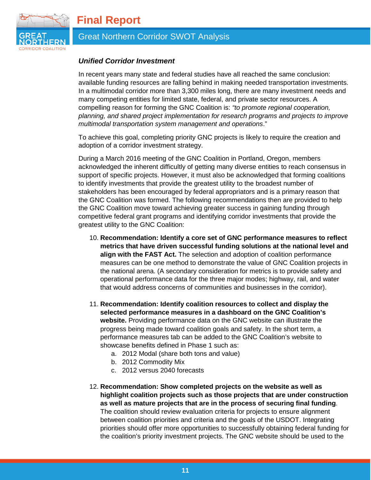

# Great Northern Corridor SWOT Analysis

#### <span id="page-12-0"></span>*Unified Corridor Investment*

In recent years many state and federal studies have all reached the same conclusion: available funding resources are falling behind in making needed transportation investments. In a multimodal corridor more than 3,300 miles long, there are many investment needs and many competing entities for limited state, federal, and private sector resources. A compelling reason for forming the GNC Coalition is: *"to promote regional cooperation, planning, and shared project implementation for research programs and projects to improve multimodal transportation system management and operations*."

To achieve this goal, completing priority GNC projects is likely to require the creation and adoption of a corridor investment strategy.

During a March 2016 meeting of the GNC Coalition in Portland, Oregon, members acknowledged the inherent difficultly of getting many diverse entities to reach consensus in support of specific projects. However, it must also be acknowledged that forming coalitions to identify investments that provide the greatest utility to the broadest number of stakeholders has been encouraged by federal appropriators and is a primary reason that the GNC Coalition was formed. The following recommendations then are provided to help the GNC Coalition move toward achieving greater success in gaining funding through competitive federal grant programs and identifying corridor investments that provide the greatest utility to the GNC Coalition:

- 10. **Recommendation: Identify a core set of GNC performance measures to reflect metrics that have driven successful funding solutions at the national level and align with the FAST Act.** The selection and adoption of coalition performance measures can be one method to demonstrate the value of GNC Coalition projects in the national arena. (A secondary consideration for metrics is to provide safety and operational performance data for the three major modes; highway, rail, and water that would address concerns of communities and businesses in the corridor).
- 11. **Recommendation: Identify coalition resources to collect and display the selected performance measures in a dashboard on the GNC Coalition's website.** Providing performance data on the GNC website can illustrate the progress being made toward coalition goals and safety. In the short term, a performance measures tab can be added to the GNC Coalition's website to showcase benefits defined in Phase 1 such as:
	- a. 2012 Modal (share both tons and value)
	- b. 2012 Commodity Mix
	- c. 2012 versus 2040 forecasts
- 12. **Recommendation: Show completed projects on the website as well as highlight coalition projects such as those projects that are under construction as well as mature projects that are in the process of securing final funding**. The coalition should review evaluation criteria for projects to ensure alignment between coalition priorities and criteria and the goals of the USDOT. Integrating priorities should offer more opportunities to successfully obtaining federal funding for the coalition's priority investment projects. The GNC website should be used to the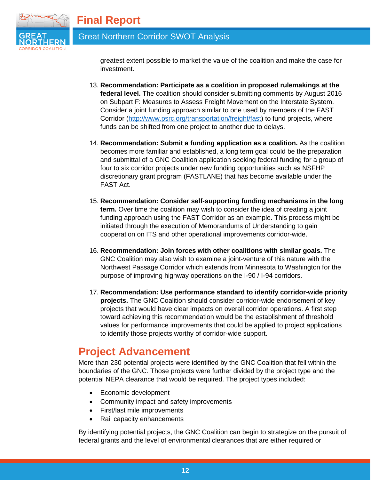

# Great Northern Corridor SWOT Analysis

greatest extent possible to market the value of the coalition and make the case for investment.

- 13. **Recommendation: Participate as a coalition in proposed rulemakings at the federal level.** The coalition should consider submitting comments by August 2016 on Subpart F: Measures to Assess Freight Movement on the Interstate System. Consider a joint funding approach similar to one used by members of the FAST Corridor [\(http://www.psrc.org/transportation/freight/fast\)](http://www.psrc.org/transportation/freight/fast) to fund projects, where funds can be shifted from one project to another due to delays.
- 14. **Recommendation: Submit a funding application as a coalition.** As the coalition becomes more familiar and established, a long term goal could be the preparation and submittal of a GNC Coalition application seeking federal funding for a group of four to six corridor projects under new funding opportunities such as NSFHP discretionary grant program (FASTLANE) that has become available under the FAST Act.
- 15. **Recommendation: Consider self-supporting funding mechanisms in the long term.** Over time the coalition may wish to consider the idea of creating a joint funding approach using the FAST Corridor as an example. This process might be initiated through the execution of Memorandums of Understanding to gain cooperation on ITS and other operational improvements corridor-wide.
- 16. **Recommendation: Join forces with other coalitions with similar goals.** The GNC Coalition may also wish to examine a joint-venture of this nature with the Northwest Passage Corridor which extends from Minnesota to Washington for the purpose of improving highway operations on the I-90 / I-94 corridors.
- 17. **Recommendation: Use performance standard to identify corridor-wide priority projects.** The GNC Coalition should consider corridor-wide endorsement of key projects that would have clear impacts on overall corridor operations. A first step toward achieving this recommendation would be the establishment of threshold values for performance improvements that could be applied to project applications to identify those projects worthy of corridor-wide support.

# <span id="page-13-0"></span>**Project Advancement**

More than 230 potential projects were identified by the GNC Coalition that fell within the boundaries of the GNC. Those projects were further divided by the project type and the potential NEPA clearance that would be required. The project types included:

- Economic development
- Community impact and safety improvements
- First/last mile improvements
- Rail capacity enhancements

By identifying potential projects, the GNC Coalition can begin to strategize on the pursuit of federal grants and the level of environmental clearances that are either required or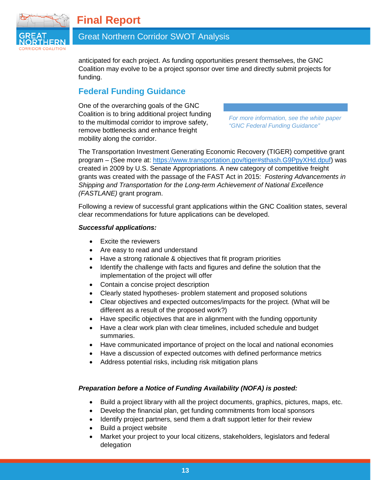

# Great Northern Corridor SWOT Analysis

anticipated for each project. As funding opportunities present themselves, the GNC Coalition may evolve to be a project sponsor over time and directly submit projects for funding.

# <span id="page-14-0"></span>**Federal Funding Guidance**

One of the overarching goals of the GNC Coalition is to bring additional project funding to the multimodal corridor to improve safety, remove bottlenecks and enhance freight mobility along the corridor.

*For more information, see the white paper "GNC Federal Funding Guidance"*

The Transportation Investment Generating Economic Recovery (TIGER) competitive grant program – (See more at: [https://www.transportation.gov/tiger#sthash.G9PpyXHd.dpuf\)](https://www.transportation.gov/tiger#sthash.G9PpyXHd.dpuf) was created in 2009 by U.S. Senate Appropriations. A new category of competitive freight grants was created with the passage of the FAST Act in 2015: *Fostering Advancements in Shipping and Transportation for the Long-term Achievement of National Excellence (FASTLANE)* grant program.

Following a review of successful grant applications within the GNC Coalition states, several clear recommendations for future applications can be developed.

#### *Successful applications:*

- Excite the reviewers
- Are easy to read and understand
- Have a strong rationale & objectives that fit program priorities
- Identify the challenge with facts and figures and define the solution that the implementation of the project will offer
- Contain a concise project description
- Clearly stated hypotheses- problem statement and proposed solutions
- Clear objectives and expected outcomes/impacts for the project. (What will be different as a result of the proposed work?)
- Have specific objectives that are in alignment with the funding opportunity
- Have a clear work plan with clear timelines, included schedule and budget summaries.
- Have communicated importance of project on the local and national economies
- Have a discussion of expected outcomes with defined performance metrics
- Address potential risks, including risk mitigation plans

#### *Preparation before a Notice of Funding Availability (NOFA) is posted:*

- Build a project library with all the project documents, graphics, pictures, maps, etc.
- Develop the financial plan, get funding commitments from local sponsors
- Identify project partners, send them a draft support letter for their review
- Build a project website
- Market your project to your local citizens, stakeholders, legislators and federal delegation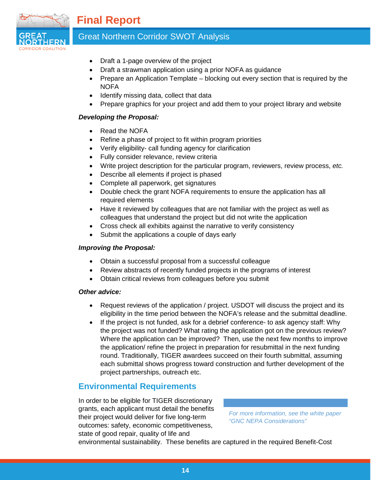

# Great Northern Corridor SWOT Analysis

- Draft a 1-page overview of the project
- Draft a strawman application using a prior NOFA as guidance
- Prepare an Application Template blocking out every section that is required by the **NOFA**
- Identify missing data, collect that data
- Prepare graphics for your project and add them to your project library and website

#### *Developing the Proposal:*

- Read the NOFA
- Refine a phase of project to fit within program priorities
- Verify eligibility- call funding agency for clarification
- Fully consider relevance, review criteria
- Write project description for the particular program, reviewers, review process, *etc.*
- Describe all elements if project is phased
- Complete all paperwork, get signatures
- Double check the grant NOFA requirements to ensure the application has all required elements
- Have it reviewed by colleagues that are not familiar with the project as well as colleagues that understand the project but did not write the application
- Cross check all exhibits against the narrative to verify consistency
- Submit the applications a couple of days early

#### *Improving the Proposal:*

- Obtain a successful proposal from a successful colleague
- Review abstracts of recently funded projects in the programs of interest
- Obtain critical reviews from colleagues before you submit

#### *Other advice:*

- Request reviews of the application / project. USDOT will discuss the project and its eligibility in the time period between the NOFA's release and the submittal deadline.
- If the project is not funded, ask for a debrief conference- to ask agency staff: Why the project was not funded? What rating the application got on the previous review? Where the application can be improved? Then, use the next few months to improve the application/ refine the project in preparation for resubmittal in the next funding round. Traditionally, TIGER awardees succeed on their fourth submittal, assuming each submittal shows progress toward construction and further development of the project partnerships, outreach etc.

# <span id="page-15-0"></span>**Environmental Requirements**

In order to be eligible for TIGER discretionary grants, each applicant must detail the benefits their project would deliver for five long-term outcomes: safety, economic competitiveness, state of good repair, quality of life and

*For more information, see the white paper "GNC NEPA Considerations"*

environmental sustainability. These benefits are captured in the required Benefit-Cost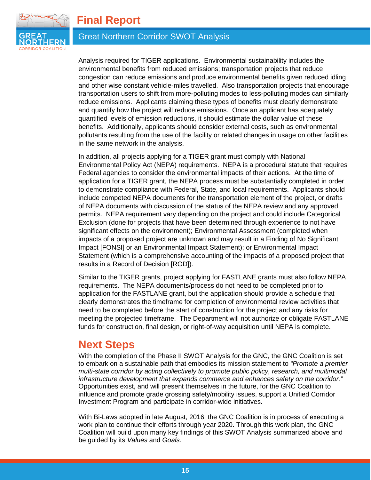

# Great Northern Corridor SWOT Analysis

Analysis required for TIGER applications. Environmental sustainability includes the environmental benefits from reduced emissions; transportation projects that reduce congestion can reduce emissions and produce environmental benefits given reduced idling and other wise constant vehicle-miles travelled. Also transportation projects that encourage transportation users to shift from more-polluting modes to less-polluting modes can similarly reduce emissions. Applicants claiming these types of benefits must clearly demonstrate and quantify how the project will reduce emissions. Once an applicant has adequately quantified levels of emission reductions, it should estimate the dollar value of these benefits. Additionally, applicants should consider external costs, such as environmental pollutants resulting from the use of the facility or related changes in usage on other facilities in the same network in the analysis.

In addition, all projects applying for a TIGER grant must comply with National Environmental Policy Act (NEPA) requirements. NEPA is a procedural statute that requires Federal agencies to consider the environmental impacts of their actions. At the time of application for a TIGER grant, the NEPA process must be substantially completed in order to demonstrate compliance with Federal, State, and local requirements. Applicants should include competed NEPA documents for the transportation element of the project, or drafts of NEPA documents with discussion of the status of the NEPA review and any approved permits. NEPA requirement vary depending on the project and could include Categorical Exclusion (done for projects that have been determined through experience to not have significant effects on the environment); Environmental Assessment (completed when impacts of a proposed project are unknown and may result in a Finding of No Significant Impact [FONSI] or an Environmental Impact Statement); or Environmental Impact Statement (which is a comprehensive accounting of the impacts of a proposed project that results in a Record of Decision [ROD]).

Similar to the TIGER grants, project applying for FASTLANE grants must also follow NEPA requirements. The NEPA documents/process do not need to be completed prior to application for the FASTLANE grant, but the application should provide a schedule that clearly demonstrates the timeframe for completion of environmental review activities that need to be completed before the start of construction for the project and any risks for meeting the projected timeframe. The Department will not authorize or obligate FASTLANE funds for construction, final design, or right-of-way acquisition until NEPA is complete.

# <span id="page-16-0"></span>**Next Steps**

With the completion of the Phase II SWOT Analysis for the GNC, the GNC Coalition is set to embark on a sustainable path that embodies its mission statement to *"Promote a premier multi-state corridor by acting collectively to promote public policy, research, and multimodal infrastructure development that expands commerce and enhances safety on the corridor."*  Opportunities exist, and will present themselves in the future, for the GNC Coalition to influence and promote grade grossing safety/mobility issues, support a Unified Corridor Investment Program and participate in corridor-wide initiatives.

With Bi-Laws adopted in late August, 2016, the GNC Coalition is in process of executing a work plan to continue their efforts through year 2020. Through this work plan, the GNC Coalition will build upon many key findings of this SWOT Analysis summarized above and be guided by its *Values* and *Goals*.